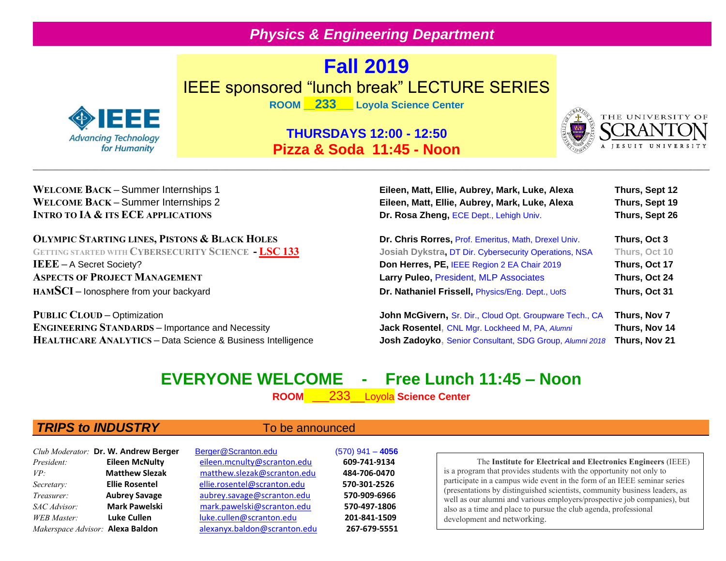## *Physics & Engineering Department*

# **Fall 2019** IEEE sponsored "lunch break" LECTURE SERIES



**ROOM \_\_233\_\_\_ Loyola Science Center**

### **THURSDAYS 12:00 - 12:50 Pizza & Soda 11:45 - Noon**



### **WELCOME BACK –** Summer Internships 1 **Eileen, Matt, Ellie, Aubrey, Mark, Luke, Alexa Thurs, Sept 12 WELCOME BACK – Summer Internships 2 INTRO TO IA & ITS ECE APPLICATIONS**

### **OLYMPIC STARTING LINES, PISTONS & BLACK HOLES**

**GETTING STARTED WITH CYBERSECURITY SCIENCE - LSC 133 IEEE** – A Secret Society? **ASPECTS OF PROJECT MANAGEMENT HAMSCI** – lonosphere from your backyard

**PUBLIC CLOUD** – Optimization **John McGivern**, Sr. Dir., Cloud Opt. Groupware Tech., CA **Thurs, Nov 7** 

| LIIGGII, MALL, LIIIG, AUDIGY, MAIN, LUNG, AIGAA<br>Eileen, Matt, Ellie, Aubrey, Mark, Luke, Alexa | 111UI 3. UUN 14<br>Thurs, Sept 19 |  |  |
|---------------------------------------------------------------------------------------------------|-----------------------------------|--|--|
| Dr. Rosa Zheng, ECE Dept., Lehigh Univ.                                                           | Thurs, Sept 26                    |  |  |
| Dr. Chris Rorres, Prof. Emeritus, Math, Drexel Univ.                                              | Thurs, Oct 3                      |  |  |
| Josiah Dykstra, DT Dir. Cybersecurity Operations, NSA                                             | Thurs, Oct 10                     |  |  |
| Don Herres, PE, IEEE Region 2 EA Chair 2019                                                       | Thurs, Oct 17                     |  |  |
| Larry Puleo, President, MLP Associates                                                            | Thurs, Oct 24                     |  |  |
| Dr. Nathaniel Frissell, Physics/Eng. Dept., UofS                                                  | Thurs, Oct 31                     |  |  |
|                                                                                                   |                                   |  |  |

**ENGINEERING STANDARDS –** Importance and Necessity **Jack Rosentel,** CNL Mgr. Lockheed M, PA, *Alumni* **Thurs, Nov 14 HEALTHCARE ANALYTICS –** Data Science & Business Intelligence **Josh Zadoyko,** Senior Consultant, SDG Group, *Alumni 2018* **Thurs, Nov 21**

## **EVERYONE WELCOME - Free Lunch 11:45 – Noon**

**ROOM** \_\_\_233\_\_Loyola **Science Center**

### **TRIPS to INDUSTRY** To be announced

|                    | Club Moderator: Dr. W. Andrew Berger    | <b>Berger@Sci</b> |
|--------------------|-----------------------------------------|-------------------|
| President:         | <b>Eileen McNulty</b>                   | eileen.mcn        |
| VP:                | <b>Matthew Slezak</b>                   | matthew.s         |
| Secretary:         | <b>Ellie Rosentel</b>                   | ellie.rosent      |
| Treasurer:         | <b>Aubrey Savage</b>                    | aubrey.sav        |
| SAC Advisor:       | <b>Mark Pawelski</b>                    | mark.paw          |
| <b>WEB</b> Master: | <b>Luke Cullen</b>                      | luke.cullen       |
|                    | Makerspace Advisor: <b>Alexa Baldon</b> | alexanyx.b        |

*Club Moderator:* **Dr. W. Andrew Berger**[Berger@Scranton.edu](mailto:berger@UofS.edu)(570) 941 – **4056** *President:* **Eileen McNulty** [eileen.mcnulty@scranton.edu](mailto:matthew.slezak@scranton.edu) **609-741-9134** *VP:* **Matthew Slezak** [matthew.slezak@scranton.edu](mailto:matthew.slezak@scranton.edu) **484-706-0470** *Secretary:* **Ellie Rosentel** [ellie.rosentel@scranton.edu](mailto:ellie.rosentel@scranton.edu) **570-301-2526** *Treasurer:* **Aubrey Savage** [aubrey.savage@scranton.edu](mailto:aubrey.savage@scranton.edu) **570-909-6966** *SAC Advisor:* **Mark Pawelski** mark.pawelski@scranton.edu **570-497-1806** *WEB Master:* **Luke Cullen** [luke.cullen@scranton.edu](mailto:luke.cullen@scranton.edu) **201-841-1509** *Makerspace Advisor:* **Alexa Baldon** [alexanyx.baldon@scranton.edu](mailto:alexanyx.baldon@scranton.edu) **267-679-5551**

The **Institute for Electrical and Electronics Engineers** (IEEE) is a program that provides students with the opportunity not only to participate in a campus wide event in the form of an IEEE seminar series (presentations by distinguished scientists, community business leaders, as well as our alumni and various employers/prospective job companies), but also as a time and place to pursue the club agenda, professional development and networking.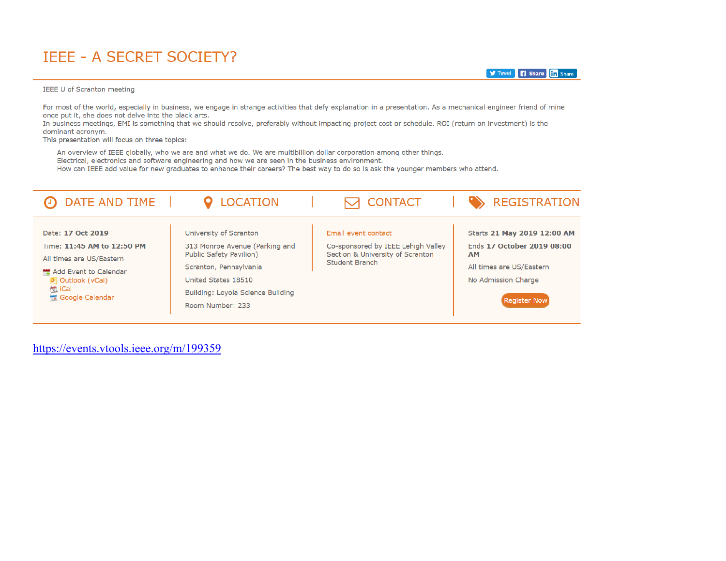## **IEEE - A SECRET SOCIETY?**

### IEEE U of Scranton meeting

For most of the world, especially in business, we engage in strange activities that defy explanation in a presentation. As a mechanical engineer friend of mine once put it, she does not delve into the black arts.

**y** Tweet **in** Share

In business meetings, EMI is something that we should resolve, preferably without impacting project cost or schedule. ROI (return on investment) is the dominant acronym.

This presentation will focus on three topics:

An overview of IEEE globally, who we are and what we do. We are multibillion dollar corporation among other things.

Electrical, electronics and software engineering and how we are seen in the business environment.

How can IEEE add value for new graduates to enhance their careers? The best way to do so is ask the younger members who attend.

| DATE AND TIME                                                                                                                                                                               | <b>LOCATION</b>                                                                                                                                                                                      | <b>T CONTACT</b>                                                                                                       |           | <b>REGISTRATION</b>                                                                                                                 |
|---------------------------------------------------------------------------------------------------------------------------------------------------------------------------------------------|------------------------------------------------------------------------------------------------------------------------------------------------------------------------------------------------------|------------------------------------------------------------------------------------------------------------------------|-----------|-------------------------------------------------------------------------------------------------------------------------------------|
| Date: 17 Oct 2019<br>Time: 11:45 AM to 12:50 PM<br>All times are US/Eastern<br>Add Event to Calendar<br><b>O</b> <sub>S</sub> Outlook (vCal)<br><b>博 iCal</b><br><b>The Google Calendar</b> | University of Scranton<br>313 Monroe Avenue (Parking and<br><b>Public Safety Pavilion)</b><br>Scranton, Pennsylvania<br>United States 18510<br>Building: Loyola Science Building<br>Room Number: 233 | Email event contact<br>Co-sponsored by IEEE Lehigh Valley<br>Section & University of Scranton<br><b>Student Branch</b> | <b>AM</b> | Starts 21 May 2019 12:00 AM<br>Ends 17 October 2019 08:00<br>All times are US/Eastern<br>No Admission Charge<br><b>Register Now</b> |

https://events.vtools.ieee.org/m/199359